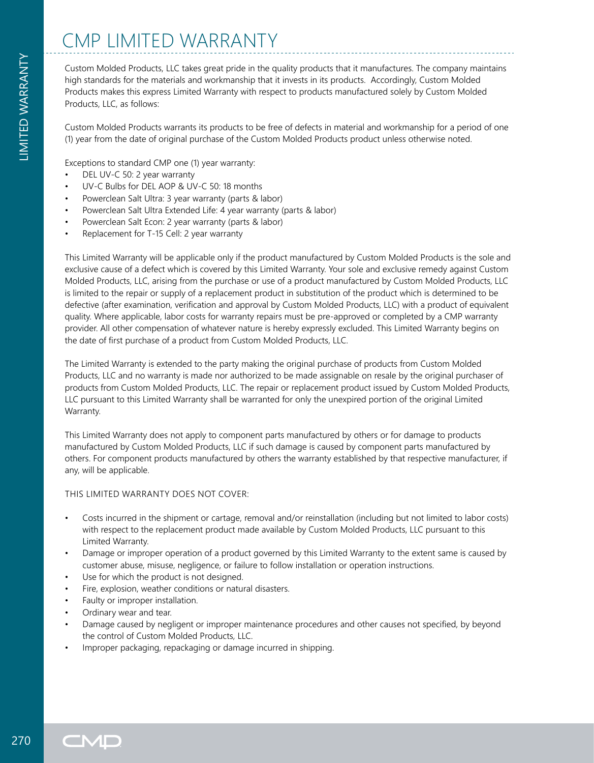Custom Molded Products, LLC takes great pride in the quality products that it manufactures. The company maintains high standards for the materials and workmanship that it invests in its products. Accordingly, Custom Molded Products makes this express Limited Warranty with respect to products manufactured solely by Custom Molded Products, LLC, as follows:

Custom Molded Products warrants its products to be free of defects in material and workmanship for a period of one (1) year from the date of original purchase of the Custom Molded Products product unless otherwise noted.

Exceptions to standard CMP one (1) year warranty:

- DEL UV-C 50: 2 year warranty
- UV-C Bulbs for DEL AOP & UV-C 50: 18 months
- Powerclean Salt Ultra: 3 year warranty (parts & labor)
- Powerclean Salt Ultra Extended Life: 4 year warranty (parts & labor)
- Powerclean Salt Econ: 2 year warranty (parts & labor)
- Replacement for T-15 Cell: 2 year warranty

This Limited Warranty will be applicable only if the product manufactured by Custom Molded Products is the sole and exclusive cause of a defect which is covered by this Limited Warranty. Your sole and exclusive remedy against Custom Molded Products, LLC, arising from the purchase or use of a product manufactured by Custom Molded Products, LLC is limited to the repair or supply of a replacement product in substitution of the product which is determined to be defective (after examination, verification and approval by Custom Molded Products, LLC) with a product of equivalent quality. Where applicable, labor costs for warranty repairs must be pre-approved or completed by a CMP warranty provider. All other compensation of whatever nature is hereby expressly excluded. This Limited Warranty begins on the date of first purchase of a product from Custom Molded Products, LLC.

The Limited Warranty is extended to the party making the original purchase of products from Custom Molded Products, LLC and no warranty is made nor authorized to be made assignable on resale by the original purchaser of products from Custom Molded Products, LLC. The repair or replacement product issued by Custom Molded Products, LLC pursuant to this Limited Warranty shall be warranted for only the unexpired portion of the original Limited Warranty.

This Limited Warranty does not apply to component parts manufactured by others or for damage to products manufactured by Custom Molded Products, LLC if such damage is caused by component parts manufactured by others. For component products manufactured by others the warranty established by that respective manufacturer, if any, will be applicable.

## THIS LIMITED WARRANTY DOES NOT COVER:

- Costs incurred in the shipment or cartage, removal and/or reinstallation (including but not limited to labor costs) with respect to the replacement product made available by Custom Molded Products, LLC pursuant to this Limited Warranty.
- Damage or improper operation of a product governed by this Limited Warranty to the extent same is caused by customer abuse, misuse, negligence, or failure to follow installation or operation instructions.
- Use for which the product is not designed.
- Fire, explosion, weather conditions or natural disasters.
- Faulty or improper installation.
- Ordinary wear and tear.
- Damage caused by negligent or improper maintenance procedures and other causes not specified, by beyond the control of Custom Molded Products, LLC.
- Improper packaging, repackaging or damage incurred in shipping.